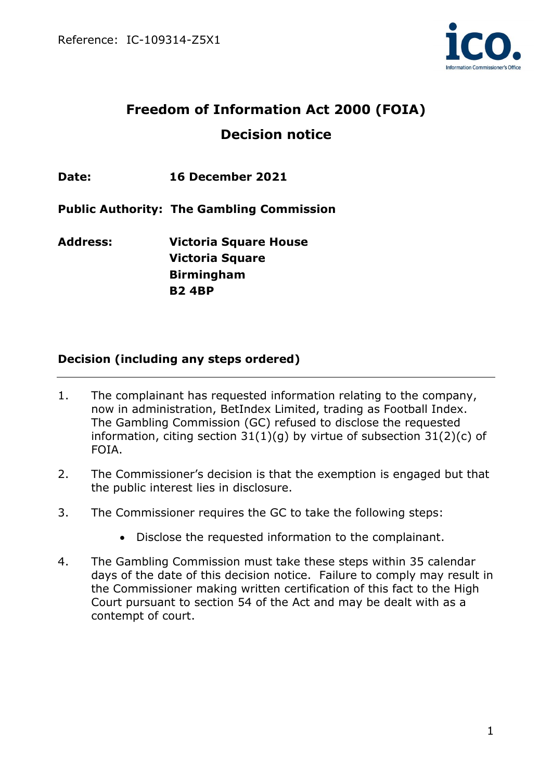

# **Freedom of Information Act 2000 (FOIA) Decision notice**

**Date: 16 December 2021**

**Public Authority: The Gambling Commission**

**Address: Victoria Square House Victoria Square Birmingham B2 4BP**

# **Decision (including any steps ordered)**

- 1. The complainant has requested information relating to the company, now in administration, BetIndex Limited, trading as Football Index. The Gambling Commission (GC) refused to disclose the requested information, citing section  $31(1)(q)$  by virtue of subsection  $31(2)(c)$  of FOIA.
- 2. The Commissioner's decision is that the exemption is engaged but that the public interest lies in disclosure.
- 3. The Commissioner requires the GC to take the following steps:
	- Disclose the requested information to the complainant.
- 4. The Gambling Commission must take these steps within 35 calendar days of the date of this decision notice. Failure to comply may result in the Commissioner making written certification of this fact to the High Court pursuant to section 54 of the Act and may be dealt with as a contempt of court.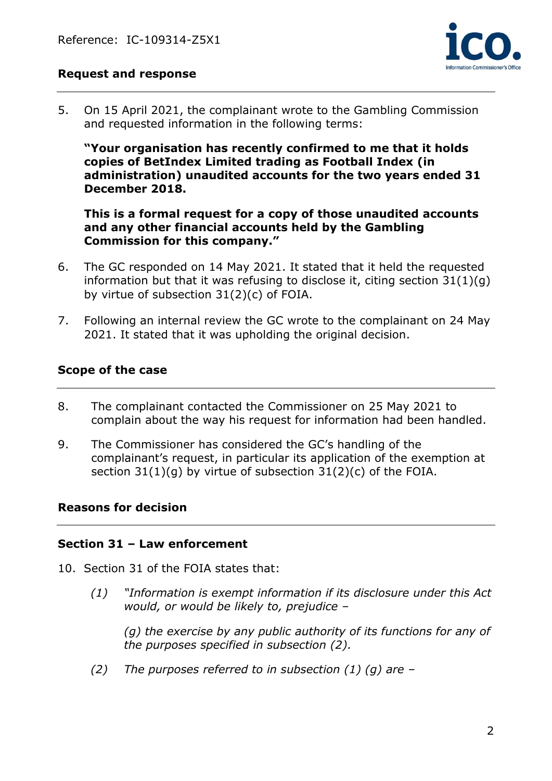

## **Request and response**

5. On 15 April 2021, the complainant wrote to the Gambling Commission and requested information in the following terms:

**"Your organisation has recently confirmed to me that it holds copies of BetIndex Limited trading as Football Index (in administration) unaudited accounts for the two years ended 31 December 2018.**

**This is a formal request for a copy of those unaudited accounts and any other financial accounts held by the Gambling Commission for this company."**

- 6. The GC responded on 14 May 2021. It stated that it held the requested information but that it was refusing to disclose it, citing section  $31(1)(q)$ by virtue of subsection 31(2)(c) of FOIA.
- 7. Following an internal review the GC wrote to the complainant on 24 May 2021. It stated that it was upholding the original decision.

## **Scope of the case**

- 8. The complainant contacted the Commissioner on 25 May 2021 to complain about the way his request for information had been handled.
- 9. The Commissioner has considered the GC's handling of the complainant's request, in particular its application of the exemption at section 31(1)(g) by virtue of subsection 31(2)(c) of the FOIA.

#### **Reasons for decision**

#### **Section 31 – Law enforcement**

- 10. Section 31 of the FOIA states that:
	- *(1) "Information is exempt information if its disclosure under this Act would, or would be likely to, prejudice –*

*(g) the exercise by any public authority of its functions for any of the purposes specified in subsection (2).*

*(2) The purposes referred to in subsection (1) (g) are –*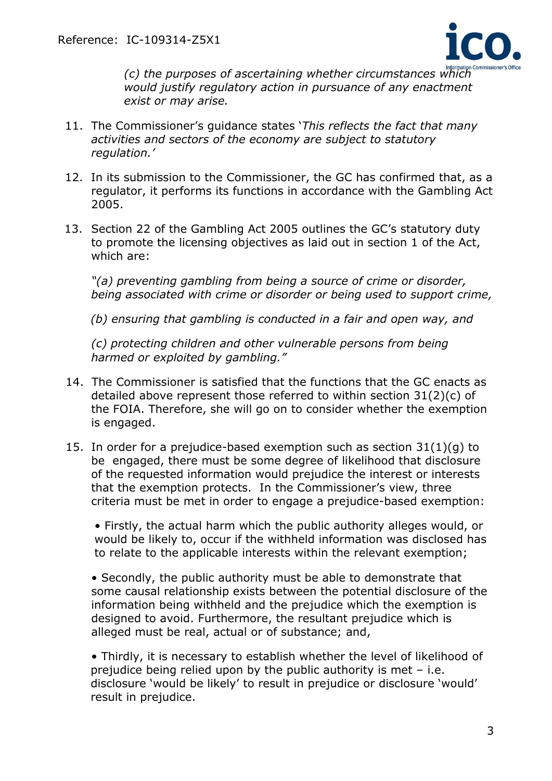

*(c) the purposes of ascertaining whether circumstances which would justify regulatory action in pursuance of any enactment exist or may arise.*

- 11. The Commissioner's guidance states '*This reflects the fact that many activities and sectors of the economy are subject to statutory regulation.'*
- 12. In its submission to the Commissioner, the GC has confirmed that, as a regulator, it performs its functions in accordance with the Gambling Act 2005.
- 13. Section 22 of the Gambling Act 2005 outlines the GC's statutory duty to promote the licensing objectives as laid out in section 1 of the Act, which are:

*"(a) preventing gambling from being a source of crime or disorder, being associated with crime or disorder or being used to support crime,* 

*(b) ensuring that gambling is conducted in a fair and open way, and*

*(c) protecting children and other vulnerable persons from being harmed or exploited by gambling."*

- 14. The Commissioner is satisfied that the functions that the GC enacts as detailed above represent those referred to within section 31(2)(c) of the FOIA. Therefore, she will go on to consider whether the exemption is engaged.
- 15. In order for a prejudice-based exemption such as section 31(1)(g) to be engaged, there must be some degree of likelihood that disclosure of the requested information would prejudice the interest or interests that the exemption protects. In the Commissioner's view, three criteria must be met in order to engage a prejudice-based exemption:

• Firstly, the actual harm which the public authority alleges would, or would be likely to, occur if the withheld information was disclosed has to relate to the applicable interests within the relevant exemption;

• Secondly, the public authority must be able to demonstrate that some causal relationship exists between the potential disclosure of the information being withheld and the prejudice which the exemption is designed to avoid. Furthermore, the resultant prejudice which is alleged must be real, actual or of substance; and,

• Thirdly, it is necessary to establish whether the level of likelihood of prejudice being relied upon by the public authority is met – i.e. disclosure 'would be likely' to result in prejudice or disclosure 'would' result in prejudice.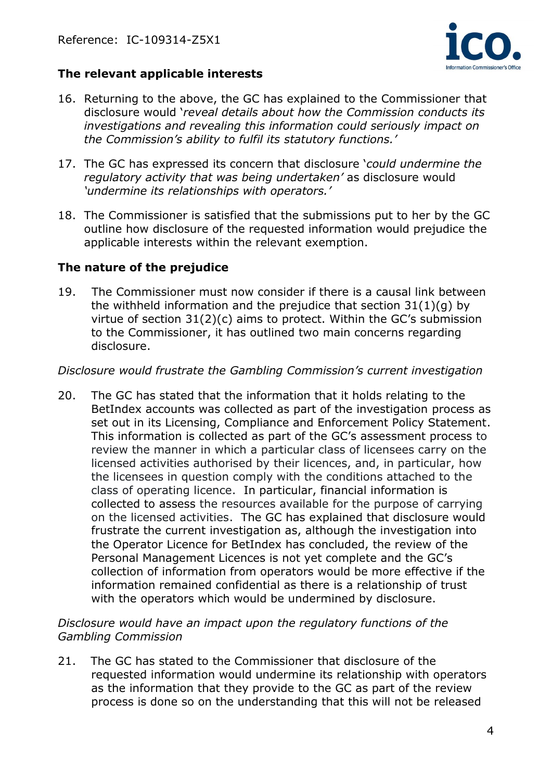

# **The relevant applicable interests**

- 16. Returning to the above, the GC has explained to the Commissioner that disclosure would '*reveal details about how the Commission conducts its investigations and revealing this information could seriously impact on the Commission's ability to fulfil its statutory functions.'*
- 17. The GC has expressed its concern that disclosure '*could undermine the regulatory activity that was being undertaken'* as disclosure would *'undermine its relationships with operators.'*
- 18. The Commissioner is satisfied that the submissions put to her by the GC outline how disclosure of the requested information would prejudice the applicable interests within the relevant exemption.

#### **The nature of the prejudice**

19. The Commissioner must now consider if there is a causal link between the withheld information and the prejudice that section 31(1)(g) by virtue of section 31(2)(c) aims to protect. Within the GC's submission to the Commissioner, it has outlined two main concerns regarding disclosure.

#### *Disclosure would frustrate the Gambling Commission's current investigation*

20. The GC has stated that the information that it holds relating to the BetIndex accounts was collected as part of the investigation process as set out in its Licensing, Compliance and Enforcement Policy Statement. This information is collected as part of the GC's assessment process to review the manner in which a particular class of licensees carry on the licensed activities authorised by their licences, and, in particular, how the licensees in question comply with the conditions attached to the class of operating licence. In particular, financial information is collected to assess the resources available for the purpose of carrying on the licensed activities. The GC has explained that disclosure would frustrate the current investigation as, although the investigation into the Operator Licence for BetIndex has concluded, the review of the Personal Management Licences is not yet complete and the GC's collection of information from operators would be more effective if the information remained confidential as there is a relationship of trust with the operators which would be undermined by disclosure.

#### *Disclosure would have an impact upon the regulatory functions of the Gambling Commission*

21. The GC has stated to the Commissioner that disclosure of the requested information would undermine its relationship with operators as the information that they provide to the GC as part of the review process is done so on the understanding that this will not be released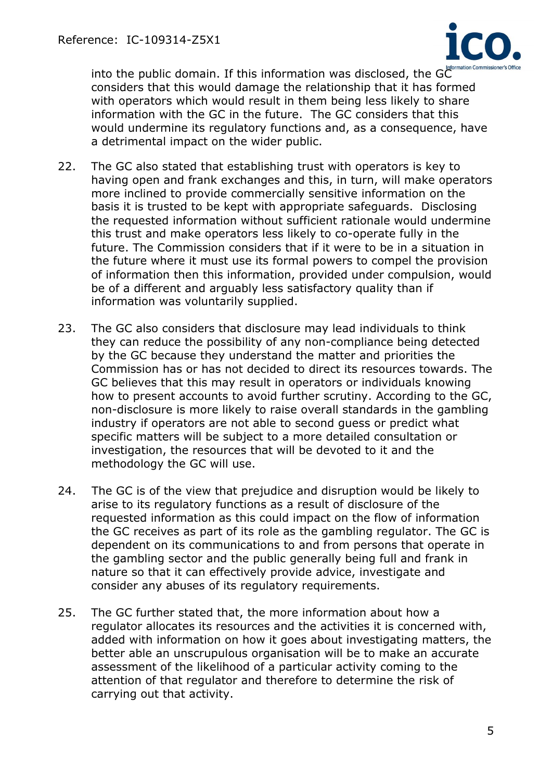

into the public domain. If this information was disclosed, the GC<sup>Information Commissioner's Office</sup> considers that this would damage the relationship that it has formed with operators which would result in them being less likely to share information with the GC in the future. The GC considers that this would undermine its regulatory functions and, as a consequence, have a detrimental impact on the wider public.

- 22. The GC also stated that establishing trust with operators is key to having open and frank exchanges and this, in turn, will make operators more inclined to provide commercially sensitive information on the basis it is trusted to be kept with appropriate safeguards. Disclosing the requested information without sufficient rationale would undermine this trust and make operators less likely to co-operate fully in the future. The Commission considers that if it were to be in a situation in the future where it must use its formal powers to compel the provision of information then this information, provided under compulsion, would be of a different and arguably less satisfactory quality than if information was voluntarily supplied.
- 23. The GC also considers that disclosure may lead individuals to think they can reduce the possibility of any non-compliance being detected by the GC because they understand the matter and priorities the Commission has or has not decided to direct its resources towards. The GC believes that this may result in operators or individuals knowing how to present accounts to avoid further scrutiny. According to the GC, non-disclosure is more likely to raise overall standards in the gambling industry if operators are not able to second guess or predict what specific matters will be subject to a more detailed consultation or investigation, the resources that will be devoted to it and the methodology the GC will use.
- 24. The GC is of the view that prejudice and disruption would be likely to arise to its regulatory functions as a result of disclosure of the requested information as this could impact on the flow of information the GC receives as part of its role as the gambling regulator. The GC is dependent on its communications to and from persons that operate in the gambling sector and the public generally being full and frank in nature so that it can effectively provide advice, investigate and consider any abuses of its regulatory requirements.
- 25. The GC further stated that, the more information about how a regulator allocates its resources and the activities it is concerned with, added with information on how it goes about investigating matters, the better able an unscrupulous organisation will be to make an accurate assessment of the likelihood of a particular activity coming to the attention of that regulator and therefore to determine the risk of carrying out that activity.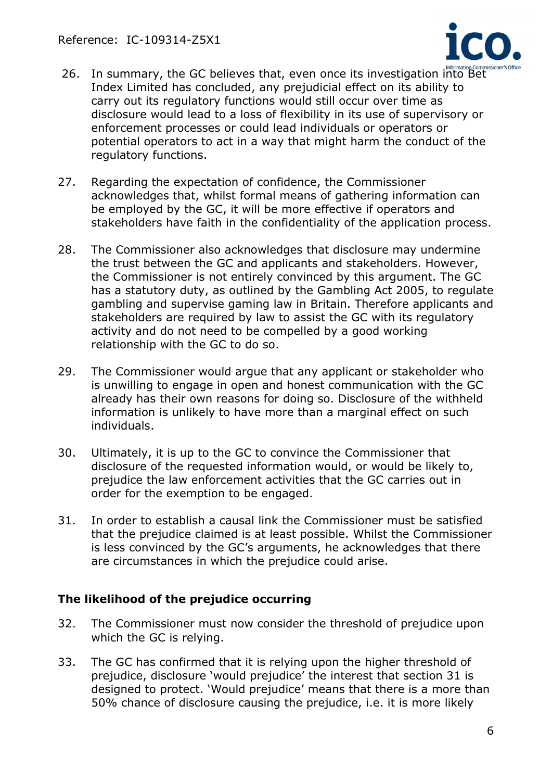

- 26. In summary, the GC believes that, even once its investigation into Bet Index Limited has concluded, any prejudicial effect on its ability to carry out its regulatory functions would still occur over time as disclosure would lead to a loss of flexibility in its use of supervisory or enforcement processes or could lead individuals or operators or potential operators to act in a way that might harm the conduct of the regulatory functions.
- 27. Regarding the expectation of confidence, the Commissioner acknowledges that, whilst formal means of gathering information can be employed by the GC, it will be more effective if operators and stakeholders have faith in the confidentiality of the application process.
- 28. The Commissioner also acknowledges that disclosure may undermine the trust between the GC and applicants and stakeholders. However, the Commissioner is not entirely convinced by this argument. The GC has a statutory duty, as outlined by the Gambling Act 2005, to regulate gambling and supervise gaming law in Britain. Therefore applicants and stakeholders are required by law to assist the GC with its regulatory activity and do not need to be compelled by a good working relationship with the GC to do so.
- 29. The Commissioner would argue that any applicant or stakeholder who is unwilling to engage in open and honest communication with the GC already has their own reasons for doing so. Disclosure of the withheld information is unlikely to have more than a marginal effect on such individuals.
- 30. Ultimately, it is up to the GC to convince the Commissioner that disclosure of the requested information would, or would be likely to, prejudice the law enforcement activities that the GC carries out in order for the exemption to be engaged.
- 31. In order to establish a causal link the Commissioner must be satisfied that the prejudice claimed is at least possible. Whilst the Commissioner is less convinced by the GC's arguments, he acknowledges that there are circumstances in which the prejudice could arise.

#### **The likelihood of the prejudice occurring**

- 32. The Commissioner must now consider the threshold of prejudice upon which the GC is relying.
- 33. The GC has confirmed that it is relying upon the higher threshold of prejudice, disclosure 'would prejudice' the interest that section 31 is designed to protect. 'Would prejudice' means that there is a more than 50% chance of disclosure causing the prejudice, i.e. it is more likely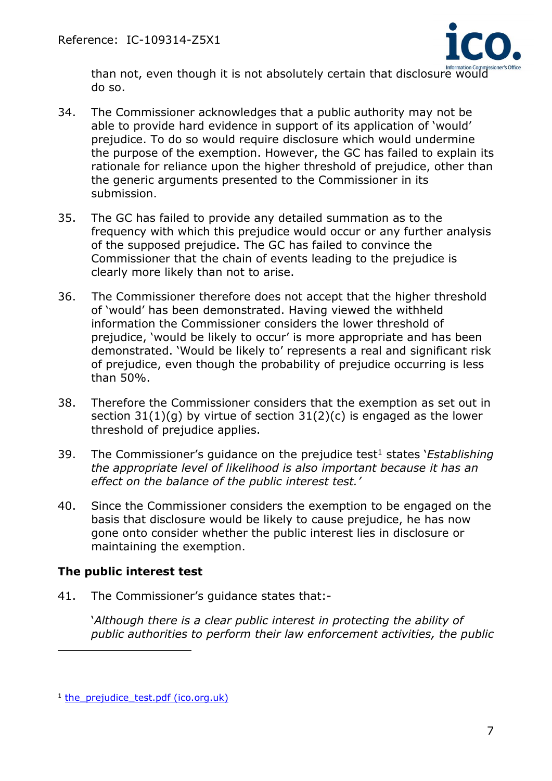

than not, even though it is not absolutely certain that disclosure would do so.

- 34. The Commissioner acknowledges that a public authority may not be able to provide hard evidence in support of its application of 'would' prejudice. To do so would require disclosure which would undermine the purpose of the exemption. However, the GC has failed to explain its rationale for reliance upon the higher threshold of prejudice, other than the generic arguments presented to the Commissioner in its submission.
- 35. The GC has failed to provide any detailed summation as to the frequency with which this prejudice would occur or any further analysis of the supposed prejudice. The GC has failed to convince the Commissioner that the chain of events leading to the prejudice is clearly more likely than not to arise.
- 36. The Commissioner therefore does not accept that the higher threshold of 'would' has been demonstrated. Having viewed the withheld information the Commissioner considers the lower threshold of prejudice, 'would be likely to occur' is more appropriate and has been demonstrated. 'Would be likely to' represents a real and significant risk of prejudice, even though the probability of prejudice occurring is less than 50%.
- 38. Therefore the Commissioner considers that the exemption as set out in section  $31(1)(q)$  by virtue of section  $31(2)(c)$  is engaged as the lower threshold of prejudice applies.
- 39. The Commissioner's guidance on the prejudice test <sup>1</sup> states '*Establishing the appropriate level of likelihood is also important because it has an effect on the balance of the public interest test.'*
- 40. Since the Commissioner considers the exemption to be engaged on the basis that disclosure would be likely to cause prejudice, he has now gone onto consider whether the public interest lies in disclosure or maintaining the exemption.

# **The public interest test**

41. The Commissioner's guidance states that:-

'*Although there is a clear public interest in protecting the ability of public authorities to perform their law enforcement activities, the public* 

<sup>&</sup>lt;sup>1</sup> the prejudice test.pdf (ico.org.uk)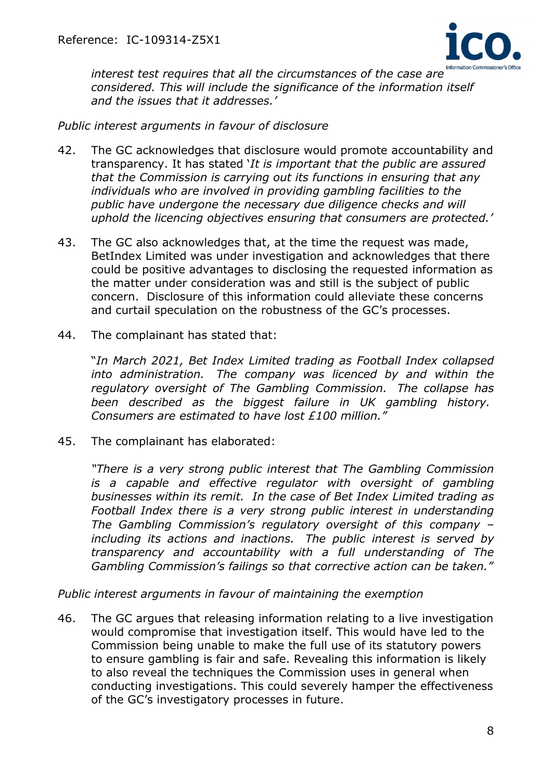

*interest test requires that all the circumstances of the case are considered. This will include the significance of the information itself and the issues that it addresses.'*

#### *Public interest arguments in favour of disclosure*

- 42. The GC acknowledges that disclosure would promote accountability and transparency. It has stated '*It is important that the public are assured that the Commission is carrying out its functions in ensuring that any individuals who are involved in providing gambling facilities to the public have undergone the necessary due diligence checks and will uphold the licencing objectives ensuring that consumers are protected.'*
- 43. The GC also acknowledges that, at the time the request was made, BetIndex Limited was under investigation and acknowledges that there could be positive advantages to disclosing the requested information as the matter under consideration was and still is the subject of public concern. Disclosure of this information could alleviate these concerns and curtail speculation on the robustness of the GC's processes.
- 44. The complainant has stated that:

"*In March 2021, Bet Index Limited trading as Football Index collapsed into administration. The company was licenced by and within the regulatory oversight of The Gambling Commission. The collapse has been described as the biggest failure in UK gambling history. Consumers are estimated to have lost £100 million."*

45. The complainant has elaborated:

*"There is a very strong public interest that The Gambling Commission is a capable and effective regulator with oversight of gambling businesses within its remit. In the case of Bet Index Limited trading as Football Index there is a very strong public interest in understanding The Gambling Commission's regulatory oversight of this company – including its actions and inactions. The public interest is served by transparency and accountability with a full understanding of The Gambling Commission's failings so that corrective action can be taken."*

*Public interest arguments in favour of maintaining the exemption*

46. The GC argues that releasing information relating to a live investigation would compromise that investigation itself. This would have led to the Commission being unable to make the full use of its statutory powers to ensure gambling is fair and safe. Revealing this information is likely to also reveal the techniques the Commission uses in general when conducting investigations. This could severely hamper the effectiveness of the GC's investigatory processes in future.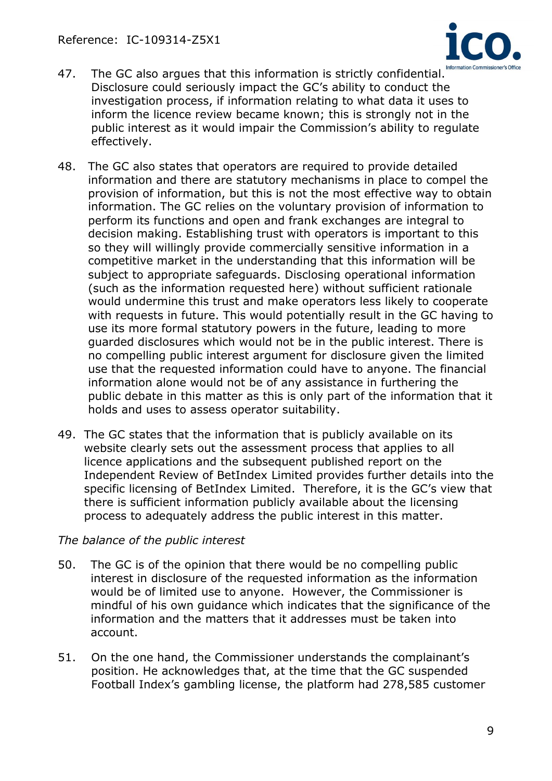

- 47. The GC also argues that this information is strictly confidential. Disclosure could seriously impact the GC's ability to conduct the investigation process, if information relating to what data it uses to inform the licence review became known; this is strongly not in the public interest as it would impair the Commission's ability to regulate effectively.
- 48. The GC also states that operators are required to provide detailed information and there are statutory mechanisms in place to compel the provision of information, but this is not the most effective way to obtain information. The GC relies on the voluntary provision of information to perform its functions and open and frank exchanges are integral to decision making. Establishing trust with operators is important to this so they will willingly provide commercially sensitive information in a competitive market in the understanding that this information will be subject to appropriate safeguards. Disclosing operational information (such as the information requested here) without sufficient rationale would undermine this trust and make operators less likely to cooperate with requests in future. This would potentially result in the GC having to use its more formal statutory powers in the future, leading to more guarded disclosures which would not be in the public interest. There is no compelling public interest argument for disclosure given the limited use that the requested information could have to anyone. The financial information alone would not be of any assistance in furthering the public debate in this matter as this is only part of the information that it holds and uses to assess operator suitability.
- 49. The GC states that the information that is publicly available on its website clearly sets out the assessment process that applies to all licence applications and the subsequent published report on the Independent Review of BetIndex Limited provides further details into the specific licensing of BetIndex Limited. Therefore, it is the GC's view that there is sufficient information publicly available about the licensing process to adequately address the public interest in this matter.

# *The balance of the public interest*

- 50. The GC is of the opinion that there would be no compelling public interest in disclosure of the requested information as the information would be of limited use to anyone. However, the Commissioner is mindful of his own guidance which indicates that the significance of the information and the matters that it addresses must be taken into account.
- 51. On the one hand, the Commissioner understands the complainant's position. He acknowledges that, at the time that the GC suspended Football Index's gambling license, the platform had 278,585 customer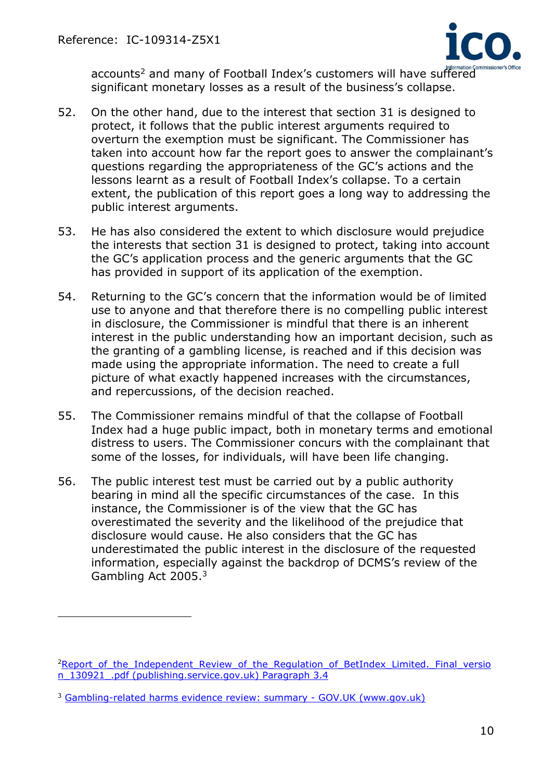

accounts<sup>2</sup> and many of Football Index's customers will have suffered significant monetary losses as a result of the business's collapse.

- 52. On the other hand, due to the interest that section 31 is designed to protect, it follows that the public interest arguments required to overturn the exemption must be significant. The Commissioner has taken into account how far the report goes to answer the complainant's questions regarding the appropriateness of the GC's actions and the lessons learnt as a result of Football Index's collapse. To a certain extent, the publication of this report goes a long way to addressing the public interest arguments.
- 53. He has also considered the extent to which disclosure would prejudice the interests that section 31 is designed to protect, taking into account the GC's application process and the generic arguments that the GC has provided in support of its application of the exemption.
- 54. Returning to the GC's concern that the information would be of limited use to anyone and that therefore there is no compelling public interest in disclosure, the Commissioner is mindful that there is an inherent interest in the public understanding how an important decision, such as the granting of a gambling license, is reached and if this decision was made using the appropriate information. The need to create a full picture of what exactly happened increases with the circumstances, and repercussions, of the decision reached.
- 55. The Commissioner remains mindful of that the collapse of Football Index had a huge public impact, both in monetary terms and emotional distress to users. The Commissioner concurs with the complainant that some of the losses, for individuals, will have been life changing.
- 56. The public interest test must be carried out by a public authority bearing in mind all the specific circumstances of the case. In this instance, the Commissioner is of the view that the GC has overestimated the severity and the likelihood of the prejudice that disclosure would cause. He also considers that the GC has underestimated the public interest in the disclosure of the requested information, especially against the backdrop of DCMS's review of the Gambling Act 2005.<sup>3</sup>

<sup>&</sup>lt;sup>2</sup>Report of the Independent Review of the Regulation of BetIndex Limited. Final versio [n\\_130921\\_.pdf \(publishing.service.gov.uk\) Paragraph 3.4](https://assets.publishing.service.gov.uk/government/uploads/system/uploads/attachment_data/file/1017268/Report_of_the_Independent_Review_of_the_Regulation_of_BetIndex_Limited._Final_version_130921_.pdf)

<sup>3</sup> [Gambling-related harms evidence review: summary -](https://www.gov.uk/government/publications/gambling-related-harms-evidence-review/gambling-related-harms-evidence-review-summary) GOV.UK (www.gov.uk)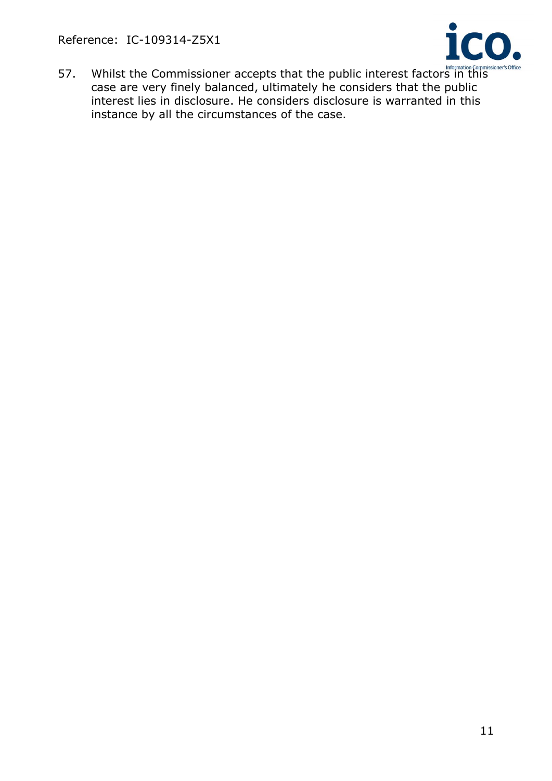Reference: IC-109314-Z5X1



57. Whilst the Commissioner accepts that the public interest factors in this **Commissioner's Office** case are very finely balanced, ultimately he considers that the public interest lies in disclosure. He considers disclosure is warranted in this instance by all the circumstances of the case.